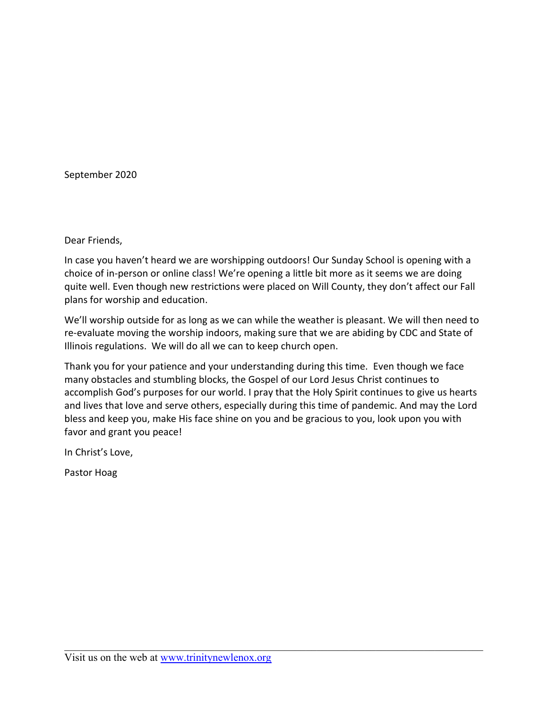September 2020

Dear Friends,

In case you haven't heard we are worshipping outdoors! Our Sunday School is opening with a choice of in-person or online class! We're opening a little bit more as it seems we are doing quite well. Even though new restrictions were placed on Will County, they don't affect our Fall plans for worship and education.

We'll worship outside for as long as we can while the weather is pleasant. We will then need to re-evaluate moving the worship indoors, making sure that we are abiding by CDC and State of Illinois regulations. We will do all we can to keep church open.

Thank you for your patience and your understanding during this time. Even though we face many obstacles and stumbling blocks, the Gospel of our Lord Jesus Christ continues to accomplish God's purposes for our world. I pray that the Holy Spirit continues to give us hearts and lives that love and serve others, especially during this time of pandemic. And may the Lord bless and keep you, make His face shine on you and be gracious to you, look upon you with favor and grant you peace!

In Christ's Love,

Pastor Hoag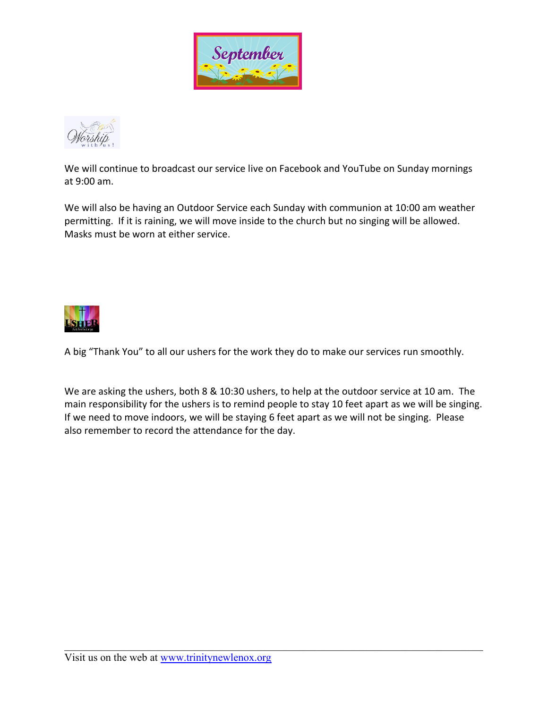



We will continue to broadcast our service live on Facebook and YouTube on Sunday mornings at 9:00 am.

We will also be having an Outdoor Service each Sunday with communion at 10:00 am weather permitting. If it is raining, we will move inside to the church but no singing will be allowed. Masks must be worn at either service.



A big "Thank You" to all our ushers for the work they do to make our services run smoothly.

We are asking the ushers, both 8 & 10:30 ushers, to help at the outdoor service at 10 am. The main responsibility for the ushers is to remind people to stay 10 feet apart as we will be singing. If we need to move indoors, we will be staying 6 feet apart as we will not be singing. Please also remember to record the attendance for the day.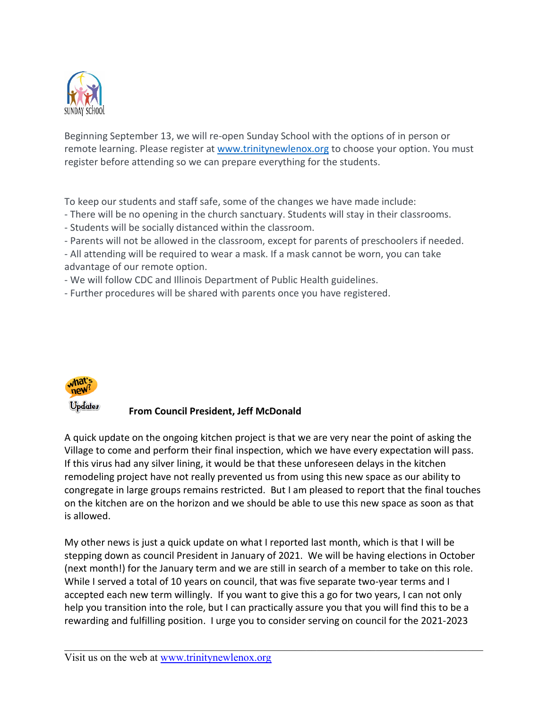

Beginning September 13, we will re-open Sunday School with the options of in person or remote learning. Please register at [www.trinitynewlenox.org](http://www.trinitynewlenox.org/) to choose your option. You must register before attending so we can prepare everything for the students.

To keep our students and staff safe, some of the changes we have made include:

- There will be no opening in the church sanctuary. Students will stay in their classrooms.
- Students will be socially distanced within the classroom.
- Parents will not be allowed in the classroom, except for parents of preschoolers if needed.
- All attending will be required to wear a mask. If a mask cannot be worn, you can take advantage of our remote option.
- We will follow CDC and Illinois Department of Public Health guidelines.
- Further procedures will be shared with parents once you have registered.



## **From Council President, Jeff McDonald**

A quick update on the ongoing kitchen project is that we are very near the point of asking the Village to come and perform their final inspection, which we have every expectation will pass. If this virus had any silver lining, it would be that these unforeseen delays in the kitchen remodeling project have not really prevented us from using this new space as our ability to congregate in large groups remains restricted. But I am pleased to report that the final touches on the kitchen are on the horizon and we should be able to use this new space as soon as that is allowed.

My other news is just a quick update on what I reported last month, which is that I will be stepping down as council President in January of 2021. We will be having elections in October (next month!) for the January term and we are still in search of a member to take on this role. While I served a total of 10 years on council, that was five separate two-year terms and I accepted each new term willingly. If you want to give this a go for two years, I can not only help you transition into the role, but I can practically assure you that you will find this to be a rewarding and fulfilling position. I urge you to consider serving on council for the 2021-2023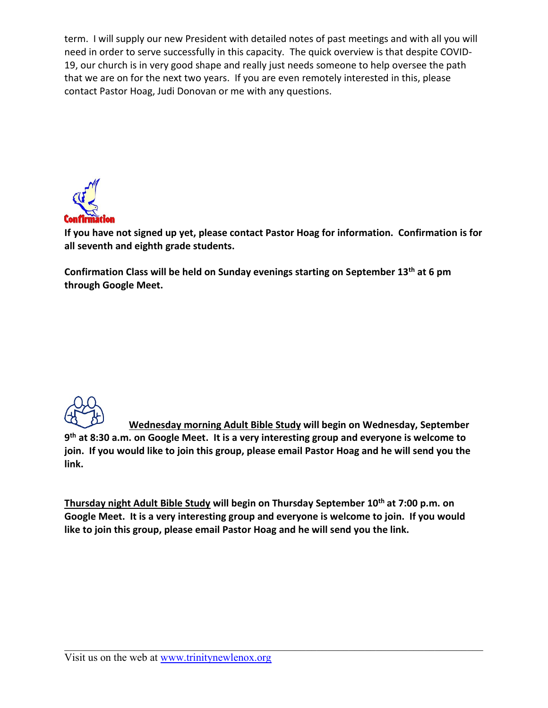term. I will supply our new President with detailed notes of past meetings and with all you will need in order to serve successfully in this capacity. The quick overview is that despite COVID-19, our church is in very good shape and really just needs someone to help oversee the path that we are on for the next two years. If you are even remotely interested in this, please contact Pastor Hoag, Judi Donovan or me with any questions.



**If you have not signed up yet, please contact Pastor Hoag for information. Confirmation is for all seventh and eighth grade students.**

**Confirmation Class will be held on Sunday evenings starting on September 13th at 6 pm through Google Meet.**



**Wednesday morning Adult Bible Study will begin on Wednesday, September 9 th at 8:30 a.m. on Google Meet. It is a very interesting group and everyone is welcome to join. If you would like to join this group, please email Pastor Hoag and he will send you the link.**

**Thursday night Adult Bible Study will begin on Thursday September 10th at 7:00 p.m. on Google Meet. It is a very interesting group and everyone is welcome to join. If you would like to join this group, please email Pastor Hoag and he will send you the link.**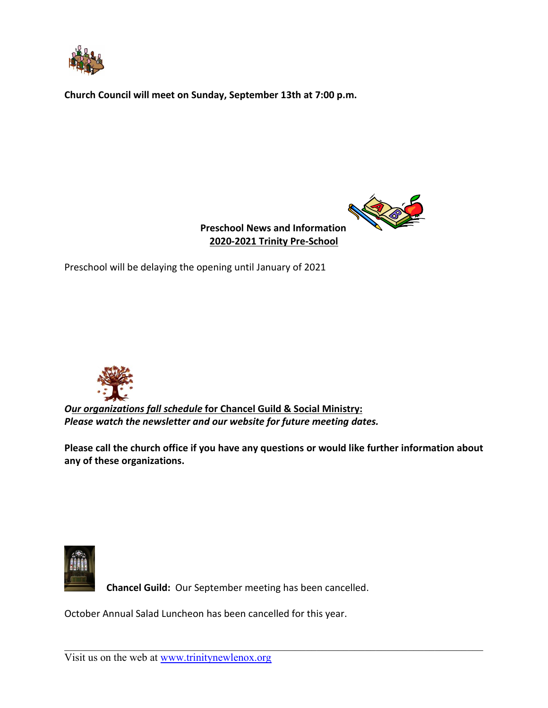

**Church Council will meet on Sunday, September 13th at 7:00 p.m.** 



 **Preschool News and Information 2020-2021 Trinity Pre-School**

Preschool will be delaying the opening until January of 2021



*Our organizations fall schedule* **for Chancel Guild & Social Ministry:** *Please watch the newsletter and our website for future meeting dates.*

**Please call the church office if you have any questions or would like further information about any of these organizations.**



 **Chancel Guild:** Our September meeting has been cancelled.

October Annual Salad Luncheon has been cancelled for this year.

Visit us on the web at [www.trinitynewlenox.org](http://www.trinitynewlenox.org/)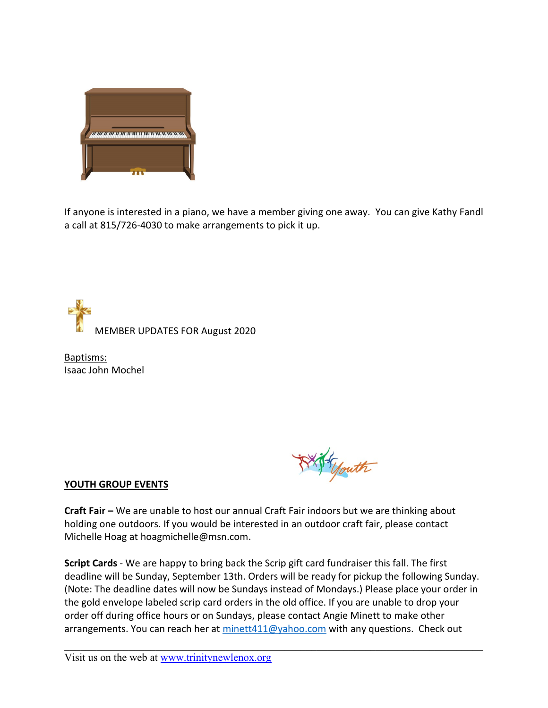

If anyone is interested in a piano, we have a member giving one away. You can give Kathy Fandl a call at 815/726-4030 to make arrangements to pick it up.

MEMBER UPDATES FOR August 2020

Baptisms: Isaac John Mochel

Gouth

## **YOUTH GROUP EVENTS**

**Craft Fair –** We are unable to host our annual Craft Fair indoors but we are thinking about holding one outdoors. If you would be interested in an outdoor craft fair, please contact Michelle Hoag at hoagmichelle@msn.com.

**Script Cards** - We are happy to bring back the Scrip gift card fundraiser this fall. The first deadline will be Sunday, September 13th. Orders will be ready for pickup the following Sunday. (Note: The deadline dates will now be Sundays instead of Mondays.) Please place your order in the gold envelope labeled scrip card orders in the old office. If you are unable to drop your order off during office hours or on Sundays, please contact Angie Minett to make other arrangements. You can reach her at [minett411@yahoo.com](mailto:minett411@yahoo.com) with any questions. Check out

Visit us on the web at [www.trinitynewlenox.org](http://www.trinitynewlenox.org/)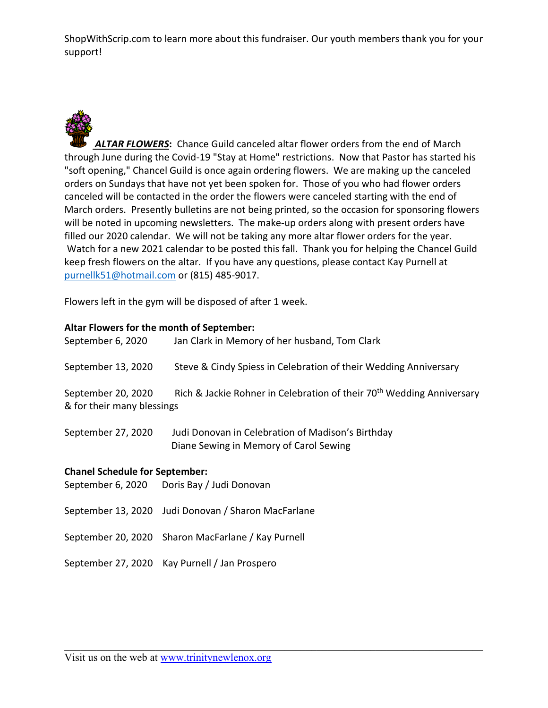ShopWithScrip.com to learn more about this fundraiser. Our youth members thank you for your support!



*ALTAR FLOWERS***:** Chance Guild canceled altar flower orders from the end of March through June during the Covid-19 "Stay at Home" restrictions. Now that Pastor has started his "soft opening," Chancel Guild is once again ordering flowers. We are making up the canceled orders on Sundays that have not yet been spoken for. Those of you who had flower orders canceled will be contacted in the order the flowers were canceled starting with the end of March orders. Presently bulletins are not being printed, so the occasion for sponsoring flowers will be noted in upcoming newsletters. The make-up orders along with present orders have filled our 2020 calendar. We will not be taking any more altar flower orders for the year. Watch for a new 2021 calendar to be posted this fall. Thank you for helping the Chancel Guild keep fresh flowers on the altar. If you have any questions, please contact Kay Purnell at [purnellk51@hotmail.com](mailto:purnellk51@hotmail.com) or (815) 485-9017.

Flowers left in the gym will be disposed of after 1 week.

## **Altar Flowers for the month of September:**

| September 6, 2020                                | Jan Clark in Memory of her husband, Tom Clark                                               |
|--------------------------------------------------|---------------------------------------------------------------------------------------------|
| September 13, 2020                               | Steve & Cindy Spiess in Celebration of their Wedding Anniversary                            |
| September 20, 2020<br>& for their many blessings | Rich & Jackie Rohner in Celebration of their 70 <sup>th</sup> Wedding Anniversary           |
| September 27, 2020                               | Judi Donovan in Celebration of Madison's Birthday<br>Diane Sewing in Memory of Carol Sewing |
| <b>Chanel Schedule for September:</b>            |                                                                                             |
|                                                  | September 6, 2020 Doris Bay / Judi Donovan                                                  |
|                                                  | September 13, 2020 Judi Donovan / Sharon MacFarlane                                         |
|                                                  | September 20, 2020 Sharon MacFarlane / Kay Purnell                                          |
|                                                  | September 27, 2020 Kay Purnell / Jan Prospero                                               |